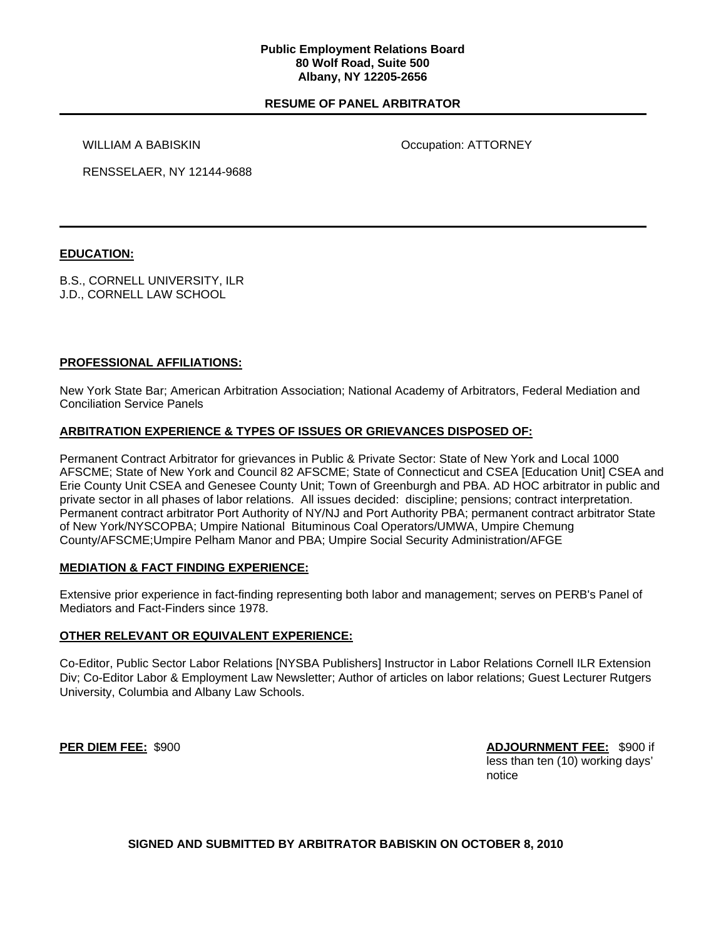### **Public Employment Relations Board 80 Wolf Road, Suite 500 Albany, NY 12205-2656**

## **RESUME OF PANEL ARBITRATOR**

WILLIAM A BABISKIN **OCCUPATION OCCUPATION ATTORNEY** 

RENSSELAER, NY 12144-9688

## **EDUCATION:**

B.S., CORNELL UNIVERSITY, ILR J.D., CORNELL LAW SCHOOL

## **PROFESSIONAL AFFILIATIONS:**

New York State Bar; American Arbitration Association; National Academy of Arbitrators, Federal Mediation and Conciliation Service Panels

## **ARBITRATION EXPERIENCE & TYPES OF ISSUES OR GRIEVANCES DISPOSED OF:**

Permanent Contract Arbitrator for grievances in Public & Private Sector: State of New York and Local 1000 AFSCME; State of New York and Council 82 AFSCME; State of Connecticut and CSEA [Education Unit] CSEA and Erie County Unit CSEA and Genesee County Unit; Town of Greenburgh and PBA. AD HOC arbitrator in public and private sector in all phases of labor relations. All issues decided: discipline; pensions; contract interpretation. Permanent contract arbitrator Port Authority of NY/NJ and Port Authority PBA; permanent contract arbitrator State of New York/NYSCOPBA; Umpire National Bituminous Coal Operators/UMWA, Umpire Chemung County/AFSCME;Umpire Pelham Manor and PBA; Umpire Social Security Administration/AFGE

### **MEDIATION & FACT FINDING EXPERIENCE:**

Extensive prior experience in fact-finding representing both labor and management; serves on PERB's Panel of Mediators and Fact-Finders since 1978.

## **OTHER RELEVANT OR EQUIVALENT EXPERIENCE:**

Co-Editor, Public Sector Labor Relations [NYSBA Publishers] Instructor in Labor Relations Cornell ILR Extension Div; Co-Editor Labor & Employment Law Newsletter; Author of articles on labor relations; Guest Lecturer Rutgers University, Columbia and Albany Law Schools.

**PER DIEM FEE:** \$900 **ADJOURNMENT FEE:** \$900 if less than ten (10) working days' notice

**SIGNED AND SUBMITTED BY ARBITRATOR BABISKIN ON OCTOBER 8, 2010**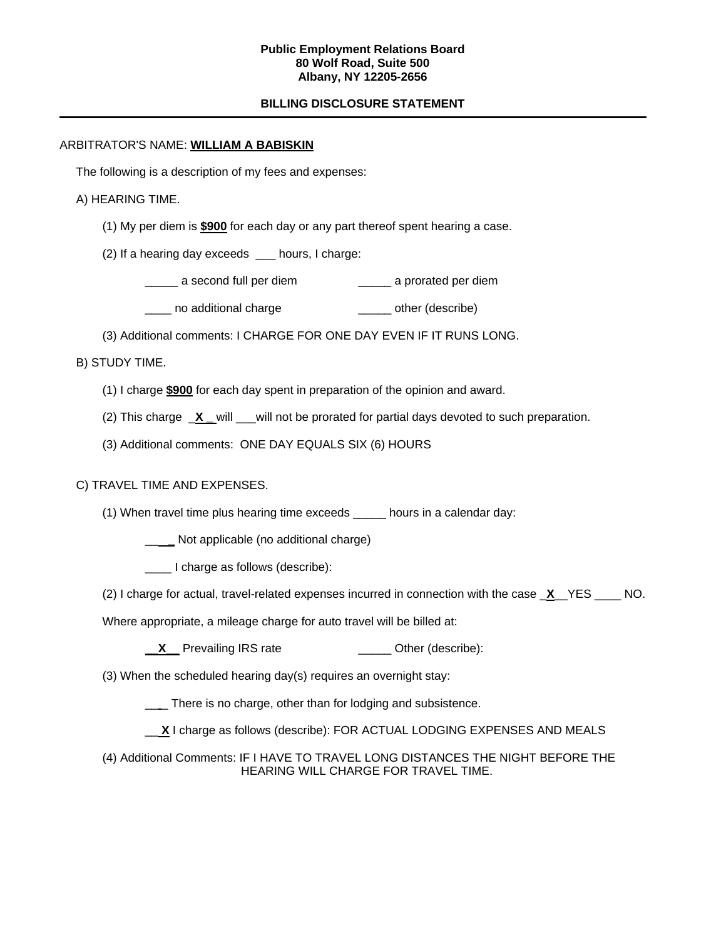### **Public Employment Relations Board 80 Wolf Road, Suite 500 Albany, NY 12205-2656**

# **BILLING DISCLOSURE STATEMENT**

## ARBITRATOR'S NAME: **WILLIAM A BABISKIN**

The following is a description of my fees and expenses:

## A) HEARING TIME.

- (1) My per diem is **\$900** for each day or any part thereof spent hearing a case.
- (2) If a hearing day exceeds \_\_\_ hours, I charge:
	- \_\_\_\_\_ a second full per diem \_\_\_\_\_ a prorated per diem
	- Letter no additional charge the control control of the control of the control of the control of the control of  $\mu$
- (3) Additional comments: I CHARGE FOR ONE DAY EVEN IF IT RUNS LONG.

## B) STUDY TIME.

- (1) I charge **\$900** for each day spent in preparation of the opinion and award.
- (2) This charge \_**X \_** will \_\_\_will not be prorated for partial days devoted to such preparation.
- (3) Additional comments: ONE DAY EQUALS SIX (6) HOURS

# C) TRAVEL TIME AND EXPENSES.

- (1) When travel time plus hearing time exceeds \_\_\_\_\_ hours in a calendar day:
	- \_\_ **\_** Not applicable (no additional charge)
	- \_\_\_\_ I charge as follows (describe):
- (2) I charge for actual, travel-related expenses incurred in connection with the case \_**X**\_\_YES \_\_\_\_ NO.

Where appropriate, a mileage charge for auto travel will be billed at:

- **\_\_X** Prevailing IRS rate \_\_\_\_\_\_\_\_\_\_\_\_\_\_\_\_\_ Other (describe):
- (3) When the scheduled hearing day(s) requires an overnight stay:
	- \_\_ There is no charge, other than for lodging and subsistence.
	- \_\_ **X** I charge as follows (describe): FOR ACTUAL LODGING EXPENSES AND MEALS
- (4) Additional Comments: IF I HAVE TO TRAVEL LONG DISTANCES THE NIGHT BEFORE THE HEARING WILL CHARGE FOR TRAVEL TIME.